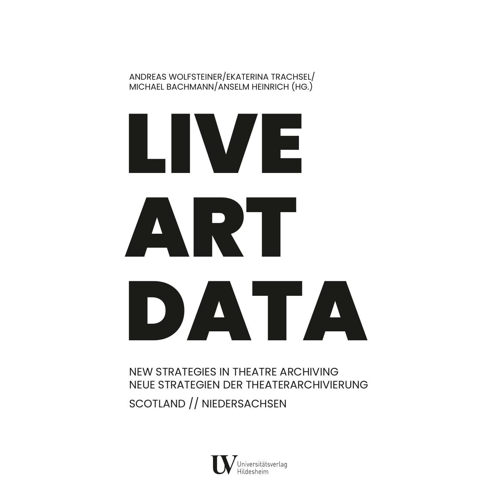<span id="page-0-0"></span>ANDREAS WOLFSTEINER/EKATERINA TRACHSEL/ MICHAEL BACHMANN/ANSELM HEINRICH (HG.)

# LIVE Art DATA

NEW STRATEGIES IN THEATRE ARCHIVING NEUE STRATEGIEN DER THEATERARCHIVIERUNG SCOTLAND // NIEDERSACHSEN

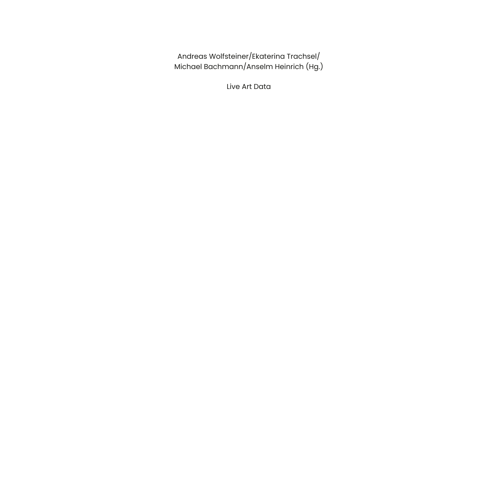[Andreas Wolfsteiner/Ekaterina Trachsel/](#page-0-0) [Michael Bachmann/Anselm Heinrich](#page-0-0) (Hg.)

Live Art Data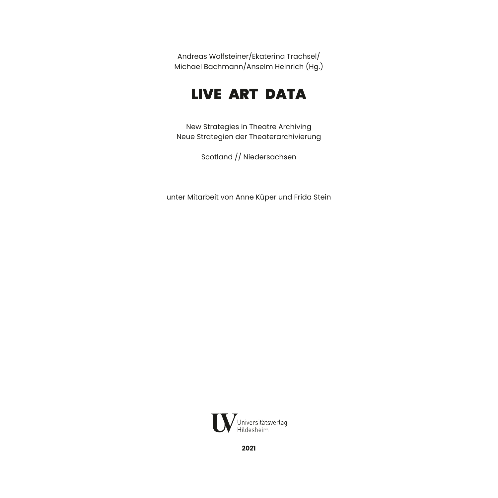[Andreas Wolfsteiner/Ekaterina Trachsel/](#page-0-0) [Michael Bachmann/Anselm Heinrich](#page-0-0) (Hg.)

## Live Art DAtA

New Strategies in Theatre Archiving Neue Strategien der Theaterarchivierung

Scotland // Niedersachsen

unter Mitarbeit von Anne Küper und Frida Stein

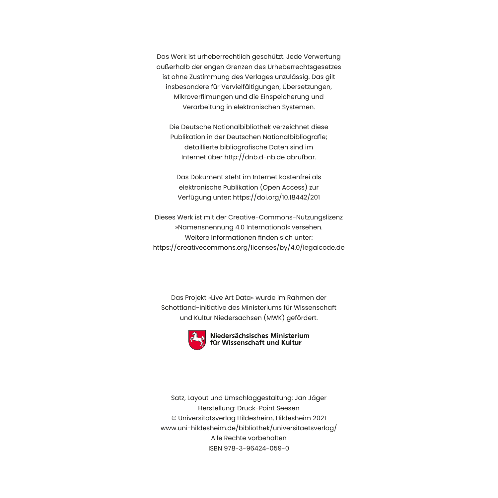Das Werk ist urheberrechtlich geschützt. Jede Verwertung außerhalb der engen Grenzen des Urheberrechtsgesetzes ist ohne Zustimmung des Verlages unzulässig. Das gilt insbesondere für Vervielfältigungen, Übersetzungen, Mikroverflmungen und die Einspeicherung und Verarbeitung in elektronischen Systemen.

Die Deutsche Nationalbibliothek verzeichnet diese Publikation in der Deutschen Nationalbibliografe; detaillierte bibliografsche Daten sind im Internet über<http://dnb.d-nb.de>abrufbar.

Das Dokument steht im Internet kostenfrei als elektronische Publikation (Open Access) zur Verfügung unter: <https://doi.org/10.18442/201>

Dieses Werk ist mit der Creative-Commons-Nutzungslizenz »Namensnennung 4.0 International« versehen. Weitere Informationen fnden sich unter: <https://creativecommons.org/licenses/by/4.0/legalcode.de>

Das Projekt »Live Art Data« wurde im Rahmen der Schottland-Initiative des Ministeriums für Wissenschaft und Kultur Niedersachsen (MWK) gefördert.



Niedersächsisches Ministerium<br>für Wissenschaft und Kultur

Satz, Layout und Umschlaggestaltung: Jan Jäger Herstellung: Druck-Point Seesen © Universitätsverlag Hildesheim, Hildesheim 2021 [www.uni-hildesheim.de/bibliothek/universitaetsverlag/](http://www.uni-hildesheim.de/bibliothek/universitaetsverlag/) Alle Rechte vorbehalten ISBN 978-3-96424-059-0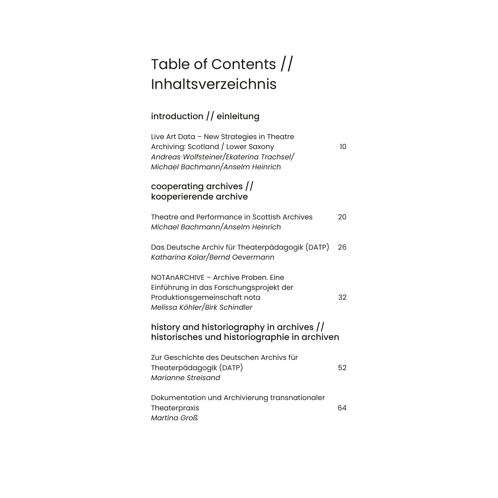# Table of Contents // Inhaltsverzeichnis

## introduction [// einleitung](#page-0-0)

| Live Art Data - New Strategies in Theatre |    |
|-------------------------------------------|----|
| Archiving: Scotland / Lower Saxony        | 10 |
| Andreas Wolfsteiner/Ekaterina Trachsel/   |    |
| Michael Bachmann/Anselm Heinrich          |    |

#### [cooperating archives](#page-0-0) // [kooperierende archive](#page-0-0)

*[Martina Groß](#page-0-0)*

| Theatre and Performance in Scottish Archives | 20 |
|----------------------------------------------|----|
| Michael Bachmann/Anselm Heinrich             |    |

[Das Deutsche Archiv für Theaterpädagogik \(DATP\)](#page-0-0)  26 *[Katharina Kolar/Bernd Oevermann](#page-0-0)*

NOTAnARCHIVE [– Archive Proben. Eine](#page-0-0)  [Einführung in das Forschungsprojekt der](#page-0-0)  [Produktionsgemeinschaft nota](#page-0-0) 32 *[Melissa Köhler/Birk Schindler](#page-0-0)*

#### [history and historiography in archives](#page-0-0) // [historisches und historiographie in archiven](#page-0-0)

[Zur Geschichte des Deutschen Archivs für](#page-0-0)  [Theaterpädagogik \(DATP\)](#page-0-0)  52 *[Marianne Streisand](#page-0-0)* [Dokumentation und Archivierung transnationaler](#page-0-0) 

[Theaterpraxis](#page-0-0) 64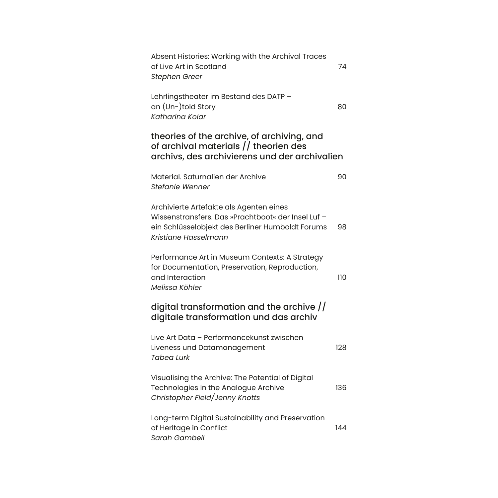| Absent Histories: Working with the Archival Traces<br>of Live Art in Scotland<br>Stephen Greer                                                                            | 74  |
|---------------------------------------------------------------------------------------------------------------------------------------------------------------------------|-----|
| Lehrlingstheater im Bestand des DATP -<br>an (Un-)told Story<br>Katharina Kolar                                                                                           | 80  |
| theories of the archive, of archiving, and<br>of archival materials // theorien des<br>archivs, des archivierens und der archivalien                                      |     |
| Material. Saturnalien der Archive<br>Stefanie Wenner                                                                                                                      | 90  |
| Archivierte Artefakte als Agenten eines<br>Wissenstransfers. Das »Prachtboot« der Insel Luf -<br>ein Schlüsselobjekt des Berliner Humboldt Forums<br>Kristiane Hasselmann | 98  |
| Performance Art in Museum Contexts: A Strategy<br>for Documentation, Preservation, Reproduction,<br>and Interaction<br>Melissa Köhler                                     | 110 |
| digital transformation and the archive $\frac{1}{2}$<br>digitale transformation und das archiv                                                                            |     |
| Live Art Data - Performancekunst zwischen<br>Liveness und Datamanagement<br>Tabea Lurk                                                                                    | 128 |
| Visualising the Archive: The Potential of Digital<br>Technologies in the Analogue Archive<br>Christopher Field/Jenny Knotts                                               | 136 |
| Long-term Digital Sustainability and Preservation<br>of Heritage in Conflict<br>Sarah Gambell                                                                             | 144 |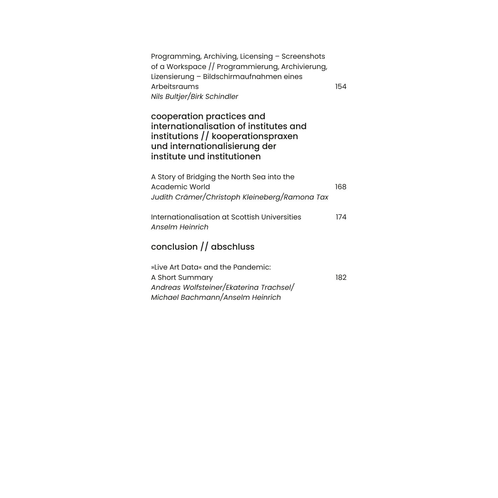| Programming, Archiving, Licensing - Screenshots |     |
|-------------------------------------------------|-----|
| of a Workspace // Programmierung, Archivierung, |     |
| Lizensierung - Bildschirmaufnahmen eines        |     |
| Arbeitsraums                                    | 154 |
| Nils Bultjer/Birk Schindler                     |     |

[cooperation practices and](#page-0-0)  [internationalisation of institutes and](#page-0-0)  institutions [// kooperationspraxen](#page-0-0)  [und internationalisierung der](#page-0-0)  [institute und institutionen](#page-0-0)

| A Story of Bridging the North Sea into the    |     |
|-----------------------------------------------|-----|
| Academic World                                | 168 |
| Judith Crämer/Christoph Kleineberg/Ramona Tax |     |

[Internationalisation at Scottish Universities](#page-0-0)  174 *[Anselm Heinrich](#page-0-0)*

### conclusion [// abschluss](#page-0-0)

| »Live Art Data« and the Pandemic:       |      |
|-----------------------------------------|------|
| A Short Summary                         | 182. |
| Andreas Wolfsteiner/Ekaterina Trachsel/ |      |
| Michael Bachmann/Anselm Heinrich        |      |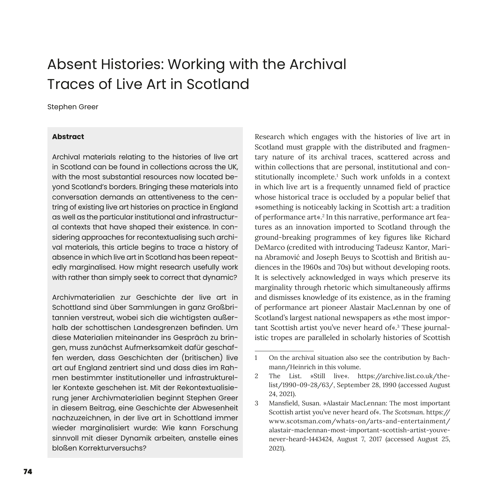## <span id="page-8-0"></span>Absent Histories: Working with the Archival Traces of Live Art in Scotland

#### Stephen Greer

#### **Abstract**

Archival materials relating to the histories of live art in Scotland can be found in collections across the UK, with the most substantial resources now located beyond Scotland's borders. Bringing these materials into conversation demands an attentiveness to the centring of existing live art histories on practice in England as well as the particular institutional and infrastructural contexts that have shaped their existence. In considering approaches for recontextualising such archival materials, this article begins to trace a history of absence in which live art in Scotland has been repeatedly marginalised. How might research usefully work with rather than simply seek to correct that dynamic?

Archivmaterialien zur Geschichte der live art in Schottland sind über Sammlungen in ganz Großbritannien verstreut, wobei sich die wichtigsten außerhalb der schottischen Landesgrenzen befnden. Um diese Materialien miteinander ins Gespräch zu bringen, muss zunächst Aufmerksamkeit dafür geschaffen werden, dass Geschichten der (britischen) live art auf England zentriert sind und dass dies im Rahmen bestimmter institutioneller und infrastruktureller Kontexte geschehen ist. Mit der Rekontextualisierung jener Archivmaterialien beginnt Stephen Greer in diesem Beitrag, eine Geschichte der Abwesenheit nachzuzeichnen, in der live art in Schottland immer wieder marginalisiert wurde: Wie kann Forschung sinnvoll mit dieser Dynamik arbeiten, anstelle eines bloßen Korrekturversuchs?

Research which engages with the histories of live art in Scotland must grapple with the distributed and fragmentary nature of its archival traces, scattered across and within collections that are personal, institutional and constitutionally incomplete.<sup>1</sup> Such work unfolds in a context in which live art is a frequently unnamed feld of practice whose historical trace is occluded by a popular belief that »something is noticeably lacking in Scottish art: a tradition of performance art«.<sup>2</sup> In this narrative, performance art features as an innovation imported to Scotland through the ground-breaking programmes of key fgures like Richard DeMarco (credited with introducing Tadeusz Kantor, Marina Abramović and Joseph Beuys to Scottish and British audiences in the 1960s and 70s) but without developing roots. It is selectively acknowledged in ways which preserve its marginality through rhetoric which simultaneously affrms and dismisses knowledge of its existence, as in the framing of performance art pioneer Alastair MacLennan by one of Scotland's largest national newspapers as »the most important Scottish artist you've never heard of«.<sup>3</sup> These journalistic tropes are paralleled in scholarly histories of Scottish

<sup>1</sup> On the archival situation also see the contribution by Bachmann/Heinrich in this volume.

<sup>2</sup> The List. »Still live«. [https://archive.list.co.uk/the](https://archive.list.co.uk/the-list/1990-09-28/63/)[list/1990-09-28/63/,](https://archive.list.co.uk/the-list/1990-09-28/63/) September 28, 1990 (accessed August 24, 2021).

<sup>3</sup> Mansfeld, Susan. »Alastair MacLennan: The most important Scottish artist you've never heard of«. *The Scotsman*. [https://](https://www.scotsman.com/whats-on/arts-and-entertainment/alastair-maclennan-most-important-scottish-artist-youve-never-heard-1443424) [www.scotsman.com/whats-on/arts-and-entertainment/](https://www.scotsman.com/whats-on/arts-and-entertainment/alastair-maclennan-most-important-scottish-artist-youve-never-heard-1443424) [alastair-maclennan-most-important-scottish-artist-youve](https://www.scotsman.com/whats-on/arts-and-entertainment/alastair-maclennan-most-important-scottish-artist-youve-never-heard-1443424)[never-heard-1443424](https://www.scotsman.com/whats-on/arts-and-entertainment/alastair-maclennan-most-important-scottish-artist-youve-never-heard-1443424), August 7, 2017 (accessed August 25, 2021).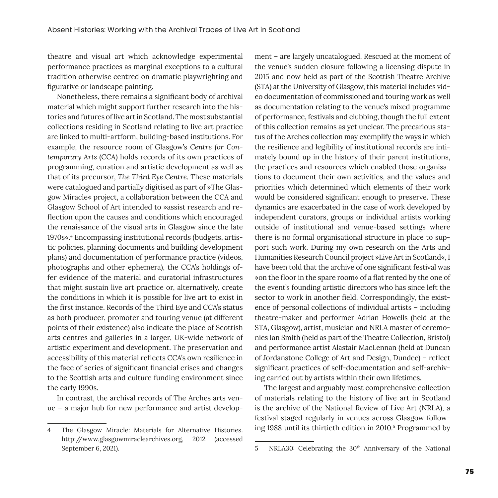theatre and visual art which acknowledge experimental performance practices as marginal exceptions to a cultural tradition otherwise centred on dramatic playwrighting and fgurative or landscape painting.

Nonetheless, there remains a signifcant body of archival material which might support further research into the histories and futures of live art in Scotland. The most substantial collections residing in Scotland relating to live art practice are linked to multi-artform, building-based institutions. For example, the resource room of Glasgow's *Centre for Contemporary Arts* (CCA) holds records of its own practices of programming, curation and artistic development as well as that of its precursor, *The Third Eye Centre*. These materials were catalogued and partially digitised as part of »The Glasgow Miracle« project, a collaboration between the CCA and Glasgow School of Art intended to »assist research and refection upon the causes and conditions which encouraged the renaissance of the visual arts in Glasgow since the late 1970s«.<sup>4</sup> Encompassing institutional records (budgets, artistic policies, planning documents and building development plans) and documentation of performance practice (videos, photographs and other ephemera), the CCA's holdings offer evidence of the material and curatorial infrastructures that might sustain live art practice or, alternatively, create the conditions in which it is possible for live art to exist in the frst instance. Records of the Third Eye and CCA's status as both producer, promoter and touring venue (at different points of their existence) also indicate the place of Scottish arts centres and galleries in a larger, UK-wide network of artistic experiment and development. The preservation and accessibility of this material refects CCA's own resilience in the face of series of signifcant fnancial crises and changes to the Scottish arts and culture funding environment since the early 1990s.

In contrast, the archival records of The Arches arts venue – a major hub for new performance and artist develop-

ment – are largely uncatalogued. Rescued at the moment of the venue's sudden closure following a licensing dispute in 2015 and now held as part of the Scottish Theatre Archive (STA) at the University of Glasgow, this material includes video documentation of commissioned and touring work as well as documentation relating to the venue's mixed programme of performance, festivals and clubbing, though the full extent of this collection remains as yet unclear. The precarious status of the Arches collection may exemplify the ways in which the resilience and legibility of institutional records are intimately bound up in the history of their parent institutions, the practices and resources which enabled those organisations to document their own activities, and the values and priorities which determined which elements of their work would be considered signifcant enough to preserve. These dynamics are exacerbated in the case of work developed by independent curators, groups or individual artists working outside of institutional and venue-based settings where there is no formal organisational structure in place to support such work. During my own research on the Arts and Humanities Research Council project »Live Art in Scotland«, I have been told that the archive of one signifcant festival was »on the foor in the spare room« of a fat rented by the one of the event's founding artistic directors who has since left the sector to work in another feld. Correspondingly, the existence of personal collections of individual artists – including theatre-maker and performer Adrian Howells (held at the STA, Glasgow), artist, musician and NRLA master of ceremonies Ian Smith (held as part of the Theatre Collection, Bristol) and performance artist Alastair MacLennan (held at Duncan of Jordanstone College of Art and Design, Dundee) – refect signifcant practices of self-documentation and self-archiving carried out by artists within their own lifetimes.

The largest and arguably most comprehensive collection of materials relating to the history of live art in Scotland is the archive of the National Review of Live Art (NRLA), a festival staged regularly in venues across Glasgow following 1988 until its thirtieth edition in 2010.<sup>5</sup> Programmed by

<sup>4</sup> The Glasgow Miracle: Materials for Alternative Histories. [http://www.glasgowmiraclearchives.org,](http://www.glasgowmiraclearchives.org) 2012 (accessed September 6, 2021).

<sup>5</sup> NRLA30: Celebrating the 30<sup>th</sup> Anniversary of the National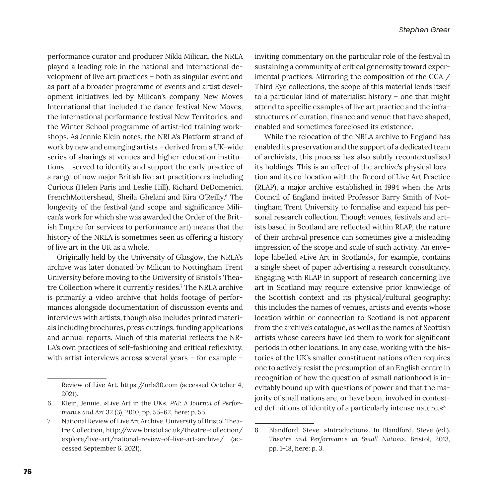performance curator and producer Nikki Milican, the NRLA played a leading role in the national and international development of live art practices – both as singular event and as part of a broader programme of events and artist development initiatives led by Milican's company New Moves International that included the dance festival New Moves, the international performance festival New Territories, and the Winter School programme of artist-led training workshops. As Jennie Klein notes, the NRLA's Platform strand of work by new and emerging artists – derived from a UK-wide series of sharings at venues and higher-education institutions – served to identify and support the early practice of a range of now major British live art practitioners including Curious (Helen Paris and Leslie Hill), Richard DeDomenici, FrenchMottershead, Sheila Ghelani and Kira O'Reilly.6 The longevity of the festival (and scope and signifcance Milican's work for which she was awarded the Order of the British Empire for services to performance art) means that the history of the NRLA is sometimes seen as offering a history of live art in the UK as a whole.

Originally held by the University of Glasgow, the NRLA's archive was later donated by Milican to Nottingham Trent University before moving to the University of Bristol's Theatre Collection where it currently resides.7 The NRLA archive is primarily a video archive that holds footage of performances alongside documentation of discussion events and interviews with artists, though also includes printed materials including brochures, press cuttings, funding applications and annual reports. Much of this material refects the NR-LA's own practices of self-fashioning and critical reflexivity. with artist interviews across several years – for example –

inviting commentary on the particular role of the festival in sustaining a community of critical generosity toward experimental practices. Mirroring the composition of the CCA / Third Eye collections, the scope of this material lends itself to a particular kind of materialist history – one that might attend to specifc examples of live art practice and the infrastructures of curation, fnance and venue that have shaped, enabled and sometimes foreclosed its existence.

While the relocation of the NRLA archive to England has enabled its preservation and the support of a dedicated team of archivists, this process has also subtly recontextualised its holdings. This is an effect of the archive's physical location and its co-location with the Record of Live Art Practice (RLAP), a major archive established in 1994 when the Arts Council of England invited Professor Barry Smith of Nottingham Trent University to formalise and expand his personal research collection. Though venues, festivals and artists based in Scotland are refected within RLAP, the nature of their archival presence can sometimes give a misleading impression of the scope and scale of such activity. An envelope labelled »Live Art in Scotland«, for example, contains a single sheet of paper advertising a research consultancy. Engaging with RLAP in support of research concerning live art in Scotland may require extensive prior knowledge of the Scottish context and its physical/cultural geography: this includes the names of venues, artists and events whose location within or connection to Scotland is not apparent from the archive's catalogue, as well as the names of Scottish artists whose careers have led them to work for signifcant periods in other locations. In any case, working with the histories of the UK's smaller constituent nations often requires one to actively resist the presumption of an English centre in recognition of how the question of »small nationhood is inevitably bound up with questions of power and that the majority of small nations are, or have been, involved in contested definitions of identity of a particularly intense nature.«<sup>8</sup>

Review of Live Art. <https://nrla30.com> (accessed October 4, 2021).

<sup>6</sup> Klein, Jennie. »Live Art in the UK«. *PAJ: A Journal of Performance and Art* 32 (3), 2010, pp. 55–62, here: p. 55.

<sup>7</sup> National Review of Live Art Archive. University of Bristol Theatre Collection, [http://www.bristol.ac.uk/theatre-collection/](http://www.bristol.ac.uk/theatre-collection/explore/live-art/national-review-of-live-art-archive/) [explore/live-art/national-review-of-live-art-archive/](http://www.bristol.ac.uk/theatre-collection/explore/live-art/national-review-of-live-art-archive/)  (accessed September 6, 2021).

<sup>8</sup> Blandford, Steve. »Introduction«. In Blandford, Steve (ed.). *Theatre and Performance in Small Nations*. Bristol, 2013, pp. 1–18, here: p. 3.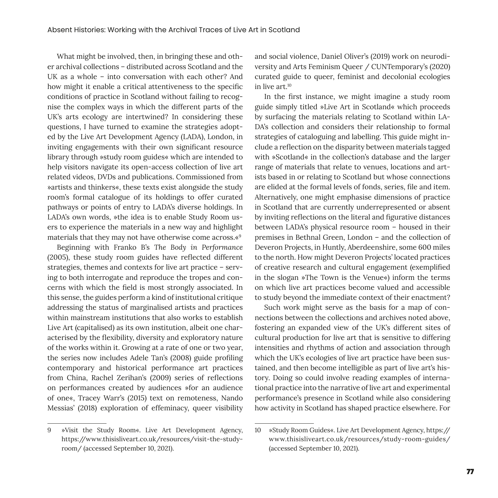What might be involved, then, in bringing these and other archival collections – distributed across Scotland and the UK as a whole - into conversation with each other? And how might it enable a critical attentiveness to the specifc conditions of practice in Scotland without failing to recognise the complex ways in which the different parts of the UK's arts ecology are intertwined? In considering these questions, I have turned to examine the strategies adopted by the Live Art Development Agency (LADA), London, in inviting engagements with their own signifcant resource library through »study room guides« which are intended to help visitors navigate its open-access collection of live art related videos, DVDs and publications. Commissioned from »artists and thinkers«, these texts exist alongside the study room's formal catalogue of its holdings to offer curated pathways or points of entry to LADA's diverse holdings. In LADA's own words, »the idea is to enable Study Room users to experience the materials in a new way and highlight materials that they may not have otherwise come across.«<sup>9</sup>

Beginning with Franko B's *The Body in Performance* (2005), these study room guides have refected different strategies, themes and contexts for live art practice – serving to both interrogate and reproduce the tropes and concerns with which the feld is most strongly associated. In this sense, the guides perform a kind of institutional critique addressing the status of marginalised artists and practices within mainstream institutions that also works to establish Live Art (capitalised) as its own institution, albeit one characterised by the fexibility, diversity and exploratory nature of the works within it. Growing at a rate of one or two year, the series now includes Adele Tan's (2008) guide profling contemporary and historical performance art practices from China, Rachel Zerihan's (2009) series of refections on performances created by audiences »for an audience of one«, Tracey Warr's (2015) text on remoteness, Nando Messias' (2018) exploration of effeminacy, queer visibility

9 »Visit the Study Room«. Live Art Development Agency, [https://www.thisisliveart.co.uk/resources/visit-the-study](https://www.thisisliveart.co.uk/resources/visit-the-study-room/)[room/](https://www.thisisliveart.co.uk/resources/visit-the-study-room/) (accessed September 10, 2021).

and social violence, Daniel Oliver's (2019) work on neurodiversity and Arts Feminism Queer / CUNTemporary's (2020) curated guide to queer, feminist and decolonial ecologies in live art.10

In the frst instance, we might imagine a study room guide simply titled »Live Art in Scotland« which proceeds by surfacing the materials relating to Scotland within LA-DA's collection and considers their relationship to formal strategies of cataloguing and labelling. This guide might include a refection on the disparity between materials tagged with »Scotland« in the collection's database and the larger range of materials that relate to venues, locations and artists based in or relating to Scotland but whose connections are elided at the formal levels of fonds, series, fle and item. Alternatively, one might emphasise dimensions of practice in Scotland that are currently underrepresented or absent by inviting refections on the literal and fgurative distances between LADA's physical resource room – housed in their premises in Bethnal Green, London – and the collection of Deveron Projects, in Huntly, Aberdeenshire, some 600 miles to the north. How might Deveron Projects' located practices of creative research and cultural engagement (exemplifed in the slogan »The Town is the Venue«) inform the terms on which live art practices become valued and accessible to study beyond the immediate context of their enactment?

Such work might serve as the basis for a map of connections between the collections and archives noted above, fostering an expanded view of the UK's different sites of cultural production for live art that is sensitive to differing intensities and rhythms of action and association through which the UK's ecologies of live art practice have been sustained, and then become intelligible as part of live art's history. Doing so could involve reading examples of international practice into the narrative of live art and experimental performance's presence in Scotland while also considering how activity in Scotland has shaped practice elsewhere. For

<sup>10</sup> »Study Room Guides«. Live Art Development Agency, [https://](https://www.thisisliveart.co.uk/resources/study-room-guides/) [www.thisisliveart.co.uk/resources/study-room-guides/](https://www.thisisliveart.co.uk/resources/study-room-guides/) (accessed September 10, 2021).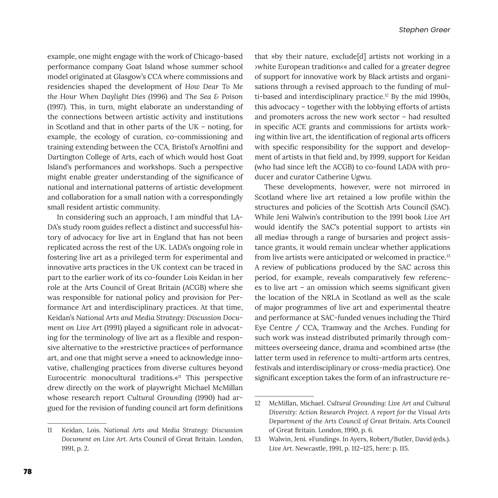example, one might engage with the work of Chicago-based performance company Goat Island whose summer school model originated at Glasgow's CCA where commissions and residencies shaped the development of *How Dear To Me the Hour When Daylight Dies* (1996) and *The Sea & Poison* (1997). This, in turn, might elaborate an understanding of the connections between artistic activity and institutions in Scotland and that in other parts of the UK – noting, for example, the ecology of curation, co-commissioning and training extending between the CCA, Bristol's Arnolfni and Dartington College of Arts, each of which would host Goat Island's performances and workshops. Such a perspective might enable greater understanding of the signifcance of national and international patterns of artistic development and collaboration for a small nation with a correspondingly small resident artistic community.

In considering such an approach, I am mindful that LA-DA's study room guides refect a distinct and successful history of advocacy for live art in England that has not been replicated across the rest of the UK. LADA's ongoing role in fostering live art as a privileged term for experimental and innovative arts practices in the UK context can be traced in part to the earlier work of its co-founder Lois Keidan in her role at the Arts Council of Great Britain (ACGB) where she was responsible for national policy and provision for Performance Art and interdisciplinary practices. At that time, Keidan's *National Arts and Media Strategy: Discussion Document on Live Art* (1991) played a significant role in advocating for the terminology of live art as a fexible and responsive alternative to the »restrictive practice« of performance art, and one that might serve a »need to acknowledge innovative, challenging practices from diverse cultures beyond Eurocentric monocultural traditions. $\mathbf{e}^{\text{11}}$  This perspective drew directly on the work of playwright Michael McMillan whose research report *Cultural Grounding* (1990) had argued for the revision of funding council art form defnitions

that »by their nature, exclude[d] artists not working in a ›white European tradition‹« and called for a greater degree of support for innovative work by Black artists and organisations through a revised approach to the funding of multi-based and interdisciplinary practice.12 By the mid 1990s, this advocacy – together with the lobbying efforts of artists and promoters across the new work sector – had resulted in specifc ACE grants and commissions for artists working within live art, the identification of regional arts officers with specifc responsibility for the support and development of artists in that feld and, by 1999, support for Keidan (who had since left the ACGB) to co-found LADA with producer and curator Catherine Ugwu.

These developments, however, were not mirrored in Scotland where live art retained a low profle within the structures and policies of the Scottish Arts Council (SAC). While Jeni Walwin's contribution to the 1991 book *Live Art* would identify the SAC's potential support to artists »in all media« through a range of bursaries and project assistance grants, it would remain unclear whether applications from live artists were anticipated or welcomed in practice.<sup>13</sup> A review of publications produced by the SAC across this period, for example, reveals comparatively few references to live art – an omission which seems signifcant given the location of the NRLA in Scotland as well as the scale of major programmes of live art and experimental theatre and performance at SAC-funded venues including the Third Eye Centre / CCA, Tramway and the Arches. Funding for such work was instead distributed primarily through committees overseeing dance, drama and »combined arts« (the latter term used in reference to multi-artform arts centres, festivals and interdisciplinary or cross-media practice). One signifcant exception takes the form of an infrastructure re-

<sup>11</sup> Keidan, Lois. *National Arts and Media Strategy: Discussion Document on Live Art*. Arts Council of Great Britain. London, 1991, p. 2.

<sup>12</sup> McMillan, Michael. *Cultural Grounding: Live Art and Cultural Diversity: Action Research Project. A report for the Visual Arts Department of the Arts Council of Great Britain*. Arts Council of Great Britain. London, 1990, p. 6.

<sup>13</sup> Walwin, Jeni. »Funding«. In Ayers, Robert/Butler, David (eds.). *Live Art*. Newcastle, 1991, p. 112–125, here: p. 115.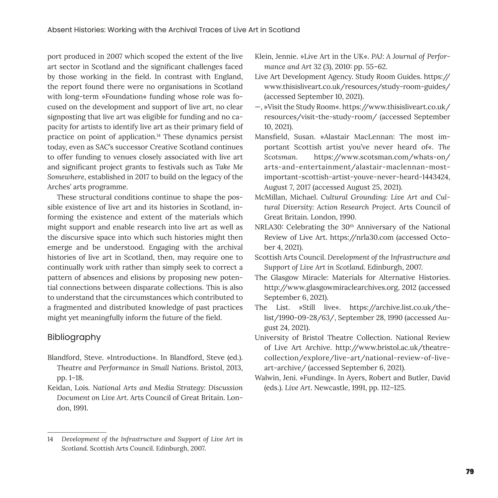port produced in 2007 which scoped the extent of the live art sector in Scotland and the signifcant challenges faced by those working in the feld. In contrast with England, the report found there were no organisations in Scotland with long-term »Foundation« funding whose role was focused on the development and support of live art, no clear signposting that live art was eligible for funding and no capacity for artists to identify live art as their primary feld of practice on point of application.14 These dynamics persist today, even as SAC's successor Creative Scotland continues to offer funding to venues closely associated with live art and signifcant project grants to festivals such as *Take Me Somewhere*, established in 2017 to build on the legacy of the Arches' arts programme.

These structural conditions continue to shape the possible existence of live art and its histories in Scotland, informing the existence and extent of the materials which might support and enable research into live art as well as the discursive space into which such histories might then emerge and be understood. Engaging with the archival histories of live art in Scotland, then, may require one to continually work *with* rather than simply seek to correct a pattern of absences and elisions by proposing new potential connections between disparate collections. This is also to understand that the circumstances which contributed to a fragmented and distributed knowledge of past practices might yet meaningfully inform the future of the feld.

#### Bibliography

- Blandford, Steve. »Introduction«. In Blandford, Steve (ed.). *Theatre and Performance in Small Nations*. Bristol, 2013, pp. 1–18.
- Keidan, Lois. *National Arts and Media Strategy: Discussion Document on Live Art*. Arts Council of Great Britain. London, 1991.
- Klein, Jennie. »Live Art in the UK«. *PAJ: A Journal of Performance and Art* 32 (3), 2010: pp. 55–62.
- Live Art Development Agency. Study Room Guides. [https://](https://www.thisisliveart.co.uk/resources/study-room-guides/) [www.thisisliveart.co.uk/resources/study-room-guides/](https://www.thisisliveart.co.uk/resources/study-room-guides/) (accessed September 10, 2021).
- —, »Visit the Study Room«. [https://www.thisisliveart.co.uk/](https://www.thisisliveart.co.uk/resources/visit-the-study-room/) [resources/visit-the-study-room/](https://www.thisisliveart.co.uk/resources/visit-the-study-room/)  (accessed September 10, 2021).
- Mansfeld, Susan. »Alastair MacLennan: The most important Scottish artist you've never heard of«. *The Scotsman*. [https://www.scotsman.com/whats-on/](https://www.scotsman.com/whats-on/arts-and-entertainment/alastair-maclennan-most-important-scottish-artist-youve-never-heard-1443424) [arts-and-entertainment/alastair-maclennan-most](https://www.scotsman.com/whats-on/arts-and-entertainment/alastair-maclennan-most-important-scottish-artist-youve-never-heard-1443424)[important-scottish-artist-youve-never-heard-1443424](https://www.scotsman.com/whats-on/arts-and-entertainment/alastair-maclennan-most-important-scottish-artist-youve-never-heard-1443424), August 7, 2017 (accessed August 25, 2021).
- McMillan, Michael. *Cultural Grounding: Live Art and Cultural Diversity: Action Research Project*. Arts Council of Great Britain. London, 1990.
- NRLA30: Celebrating the 30<sup>th</sup> Anniversary of the National Review of Live Art. <https://nrla30.com> (accessed October 4, 2021).
- Scottish Arts Council. *Development of the Infrastructure and Support of Live Art in Scotland*. Edinburgh, 2007.
- The Glasgow Miracle: Materials for Alternative Histories. [http://www.glasgowmiraclearchives.org,](http://www.glasgowmiraclearchives.org) 2012 (accessed September 6, 2021).
- The List. »Still live«. [https://archive.list.co.uk/the](https://archive.list.co.uk/the-list/1990-09-28/63/)[list/1990-09-28/63/](https://archive.list.co.uk/the-list/1990-09-28/63/), September 28, 1990 (accessed August 24, 2021).
- University of Bristol Theatre Collection. National Review of Live Art Archive. [http://www.bristol.ac.uk/theatre](http://www.bristol.ac.uk/theatre-collection/explore/live-art/national-review-of-live-art-archive/)[collection/explore/live-art/national-review-of-live](http://www.bristol.ac.uk/theatre-collection/explore/live-art/national-review-of-live-art-archive/)[art-archive/](http://www.bristol.ac.uk/theatre-collection/explore/live-art/national-review-of-live-art-archive/) (accessed September 6, 2021).
- Walwin, Jeni. »Funding«. In Ayers, Robert and Butler, David (eds.). *Live Art*. Newcastle, 1991, pp. 112–125.

<sup>14</sup> *Development of the Infrastructure and Support of Live Art in Scotland*. Scottish Arts Council. Edinburgh, 2007.